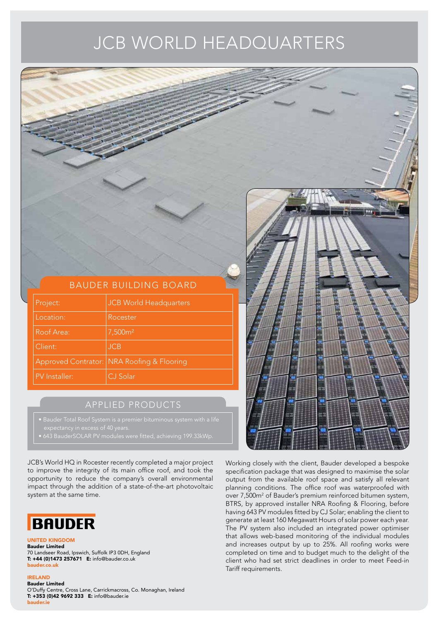# JCB WORLD HEADQUARTERS

| <b>BAUDER BUILDING BOARD</b> |               |                                            |  |  |  |
|------------------------------|---------------|--------------------------------------------|--|--|--|
|                              |               |                                            |  |  |  |
|                              | Project:      | JCB World Headquarters                     |  |  |  |
|                              | Location:     | Rocester                                   |  |  |  |
|                              | Roof Area:    | $\frac{1}{7}$ ,500m <sup>2</sup>           |  |  |  |
|                              | Client:       | JCB                                        |  |  |  |
|                              |               | Approved Contrator: NRA Roofing & Flooring |  |  |  |
|                              | PV Installer: | CJ Solar                                   |  |  |  |
|                              |               |                                            |  |  |  |
|                              |               | APPLIED PRODUCTS                           |  |  |  |

- 
- 

JCB's World HQ in Rocester recently completed a major project to improve the integrity of its main office roof, and took the opportunity to reduce the company's overall environmental impact through the addition of a state-of-the-art [photovoltaic](https://www.bauder.co.uk/solar-pv/baudersolar-pv-system)  system at the same time.



### UNITED KINGDOM

Bauder Limited 70 Landseer Road, Ipswich, Suffolk IP3 0DH, England T: +44 (0)1473 257671 E: info@bauder.co.uk bauder.co.uk

## IRELAND

Bauder Limited [O'Duffy Centre, Cross Lane, Carrickmacross, Co. Monaghan, Ireland](https://www.bauder.co.uk/contact) T: +353 (0)42 9692 333 E: info@bauder.ie bauder.ie

Working closely with the client, Bauder developed a bespoke specification package that was designed to maximise the solar output from the available roof space and satisfy all relevant planning conditions. The office roof was [waterproofed](https://www.bauder.co.uk/roof-systems/waterproofing-systems) with over 7,500m<sup>2</sup> of Bauder's premium reinforced bitumen system, [BTRS,](https://www.bauder.co.uk/roof-systems/waterproofing-systems/bituminous-systems/bauder-total-roof-system) by approved installer NRA Roofing & Flooring, before having 643 PV modules fitted by CJ Solar; enabling the client to generate at least 160 Megawatt Hours of solar power each year. The [PV system](https://www.bauder.co.uk/solar-pv) also included an integrated power optimiser that allows web-based monitoring of the individual modules and increases output by up to 25%. All roofing works were completed on time and to budget much to the delight of the client who had set strict deadlines in order to meet Feed-in Tariff requirements.